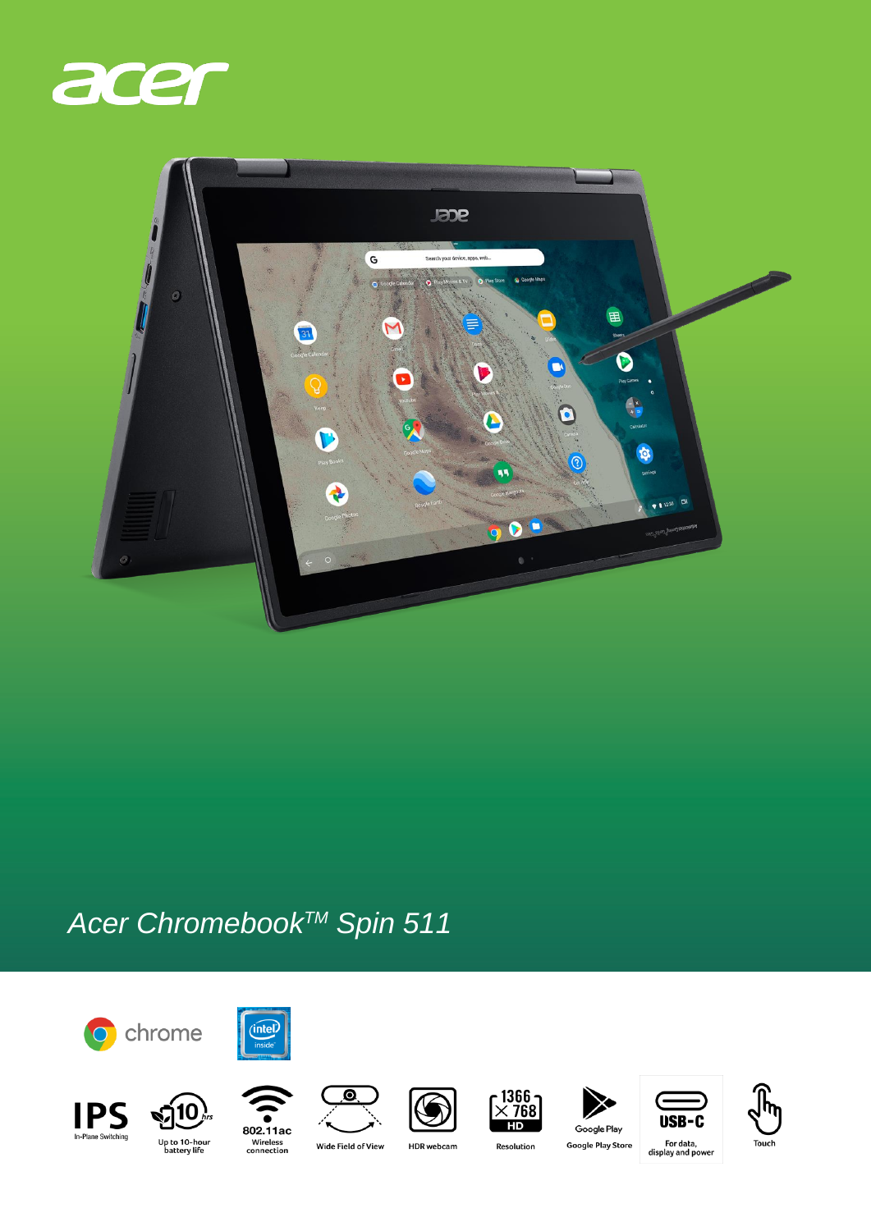



## Acer Chromebook™ Spin 511























802.11ac Wireless<br>connection

Wide Field of View

**HDR** webcam

Resolution

**Google Play Store** 

, For data<br>display and power